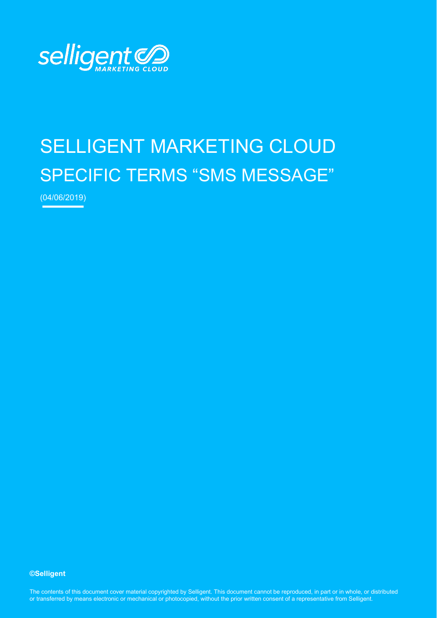

# SELLIGENT MARKETING CLOUD SPECIFIC TERMS "SMS MESSAGE"

(04/06/2019)

#### **©Selligent**

The contents of this document cover material copyrighted by Selligent. This document cannot be reproduced, in part or in whole, or distributed or transferred by means electronic or mechanical or photocopied, without the prior written consent of a representative from Selligent.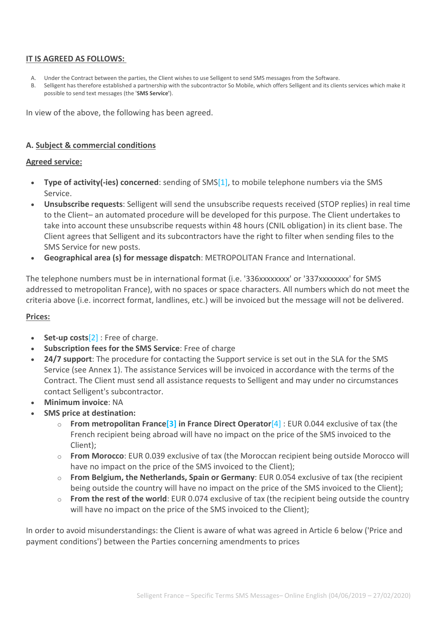#### **IT IS AGREED AS FOLLOWS:**

- A. Under the Contract between the parties, the Client wishes to use Selligent to send SMS messages from the Software.
- B. Selligent has therefore established a partnership with the subcontractor So Mobile, which offers Selligent and its clients services which make it possible to send text messages (the '**SMS Service'**).

In view of the above, the following has been agreed.

#### **A. Subject & commercial conditions**

#### **Agreed service:**

- **Type of activity(-ies) concerned**: sending of SM[S\[1\],](https://www.selligent.com/legal-France-SMS-Message#_ftn1) to mobile telephone numbers via the SMS Service.
- **Unsubscribe requests**: Selligent will send the unsubscribe requests received (STOP replies) in real time to the Client– an automated procedure will be developed for this purpose. The Client undertakes to take into account these unsubscribe requests within 48 hours (CNIL obligation) in its client base. The Client agrees that Selligent and its subcontractors have the right to filter when sending files to the SMS Service for new posts.
- **Geographical area (s) for message dispatch**: METROPOLITAN France and International.

The telephone numbers must be in international format (i.e. '336xxxxxxxx' or '337xxxxxxxx' for SMS addressed to metropolitan France), with no spaces or space characters. All numbers which do not meet the criteria above (i.e. incorrect format, landlines, etc.) will be invoiced but the message will not be delivered.

#### **Prices:**

- **Set-up costs**[\[2\]](https://www.selligent.com/legal-France-SMS-Message#_ftn2) : Free of charge.
- **Subscription fees for the SMS Service**: Free of charge
- **24/7 support**: The procedure for contacting the Support service is set out in the SLA for the SMS Service (see Annex 1). The assistance Services will be invoiced in accordance with the terms of the Contract. The Client must send all assistance requests to Selligent and may under no circumstances contact Selligent's subcontractor.
- **Minimum invoice**: NA
- **SMS price at destination:**
	- o **From metropolitan Franc[e\[3\]](https://www.selligent.com/legal-France-SMS-Message#_ftn3) in France Direct Operator**[\[4\]](https://www.selligent.com/legal-France-SMS-Message#_ftn4) : EUR 0.044 exclusive of tax (the French recipient being abroad will have no impact on the price of the SMS invoiced to the Client);
	- o **From Morocco**: EUR 0.039 exclusive of tax (the Moroccan recipient being outside Morocco will have no impact on the price of the SMS invoiced to the Client);
	- o **From Belgium, the Netherlands, Spain or Germany**: EUR 0.054 exclusive of tax (the recipient being outside the country will have no impact on the price of the SMS invoiced to the Client);
	- o **From the rest of the world**: EUR 0.074 exclusive of tax (the recipient being outside the country will have no impact on the price of the SMS invoiced to the Client);

In order to avoid misunderstandings: the Client is aware of what was agreed in Article 6 below ('Price and payment conditions') between the Parties concerning amendments to prices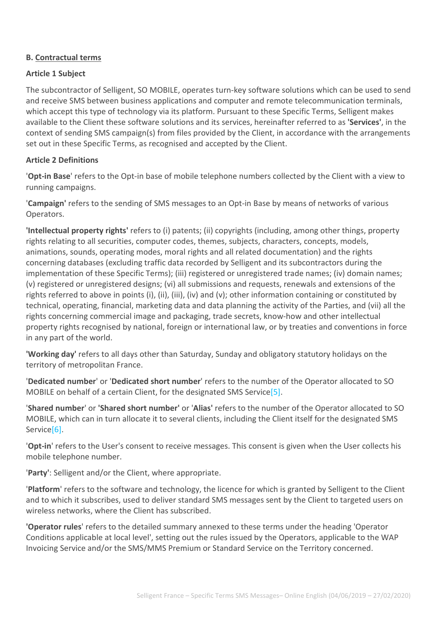#### **B. Contractual terms**

#### **Article 1 Subject**

The subcontractor of Selligent, SO MOBILE, operates turn-key software solutions which can be used to send and receive SMS between business applications and computer and remote telecommunication terminals, which accept this type of technology via its platform. Pursuant to these Specific Terms, Selligent makes available to the Client these software solutions and its services, hereinafter referred to as **'Services'**, in the context of sending SMS campaign(s) from files provided by the Client, in accordance with the arrangements set out in these Specific Terms, as recognised and accepted by the Client.

#### **Article 2 Definitions**

'**Opt-in Base**' refers to the Opt-in base of mobile telephone numbers collected by the Client with a view to running campaigns.

'**Campaign'** refers to the sending of SMS messages to an Opt-in Base by means of networks of various Operators.

**'Intellectual property rights'** refers to (i) patents; (ii) copyrights (including, among other things, property rights relating to all securities, computer codes, themes, subjects, characters, concepts, models, animations, sounds, operating modes, moral rights and all related documentation) and the rights concerning databases (excluding traffic data recorded by Selligent and its subcontractors during the implementation of these Specific Terms); (iii) registered or unregistered trade names; (iv) domain names; (v) registered or unregistered designs; (vi) all submissions and requests, renewals and extensions of the rights referred to above in points (i), (ii), (iii), (iv) and (v); other information containing or constituted by technical, operating, financial, marketing data and data planning the activity of the Parties, and (vii) all the rights concerning commercial image and packaging, trade secrets, know-how and other intellectual property rights recognised by national, foreign or international law, or by treaties and conventions in force in any part of the world.

**'Working day'** refers to all days other than Saturday, Sunday and obligatory statutory holidays on the territory of metropolitan France.

'**Dedicated number**' or '**Dedicated short number**' refers to the number of the Operator allocated to SO MOBILE on behalf of a certain Client, for the designated SMS Servic[e\[5\].](https://www.selligent.com/legal-France-SMS-Message#_ftn5)

'**Shared number**' or **'Shared short number'** or '**Alias'** refers to the number of the Operator allocated to SO MOBILE, which can in turn allocate it to several clients, including the Client itself for the designated SMS Service<sup>[6]</sup>.

'**Opt-in**' refers to the User's consent to receive messages. This consent is given when the User collects his mobile telephone number.

'**Party'**: Selligent and/or the Client, where appropriate.

'**Platform**' refers to the software and technology, the licence for which is granted by Selligent to the Client and to which it subscribes, used to deliver standard SMS messages sent by the Client to targeted users on wireless networks, where the Client has subscribed.

**'Operator rules**' refers to the detailed summary annexed to these terms under the heading 'Operator Conditions applicable at local level', setting out the rules issued by the Operators, applicable to the WAP Invoicing Service and/or the SMS/MMS Premium or Standard Service on the Territory concerned.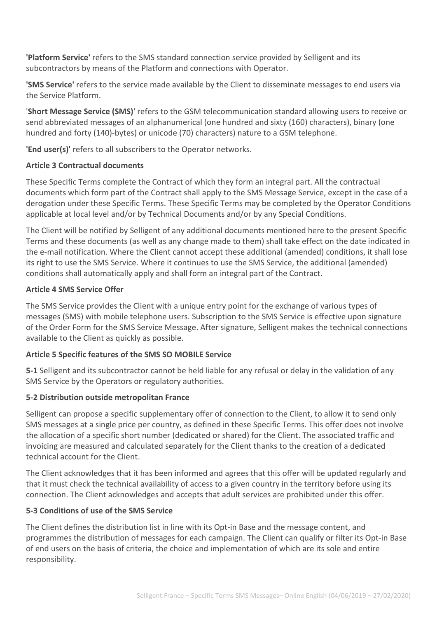**'Platform Service'** refers to the SMS standard connection service provided by Selligent and its subcontractors by means of the Platform and connections with Operator.

**'SMS Service'** refers to the service made available by the Client to disseminate messages to end users via the Service Platform.

'**Short Message Service (SMS)**' refers to the GSM telecommunication standard allowing users to receive or send abbreviated messages of an alphanumerical (one hundred and sixty (160) characters), binary (one hundred and forty (140)-bytes) or unicode (70) characters) nature to a GSM telephone.

**'End user(s)'** refers to all subscribers to the Operator networks.

## **Article 3 Contractual documents**

These Specific Terms complete the Contract of which they form an integral part. All the contractual documents which form part of the Contract shall apply to the SMS Message Service, except in the case of a derogation under these Specific Terms. These Specific Terms may be completed by the Operator Conditions applicable at local level and/or by Technical Documents and/or by any Special Conditions.

The Client will be notified by Selligent of any additional documents mentioned here to the present Specific Terms and these documents (as well as any change made to them) shall take effect on the date indicated in the e-mail notification. Where the Client cannot accept these additional (amended) conditions, it shall lose its right to use the SMS Service. Where it continues to use the SMS Service, the additional (amended) conditions shall automatically apply and shall form an integral part of the Contract.

# **Article 4 SMS Service Offer**

The SMS Service provides the Client with a unique entry point for the exchange of various types of messages (SMS) with mobile telephone users. Subscription to the SMS Service is effective upon signature of the Order Form for the SMS Service Message. After signature, Selligent makes the technical connections available to the Client as quickly as possible.

# **Article 5 Specific features of the SMS SO MOBILE Service**

**5-1** Selligent and its subcontractor cannot be held liable for any refusal or delay in the validation of any SMS Service by the Operators or regulatory authorities.

## **5-2 Distribution outside metropolitan France**

Selligent can propose a specific supplementary offer of connection to the Client, to allow it to send only SMS messages at a single price per country, as defined in these Specific Terms. This offer does not involve the allocation of a specific short number (dedicated or shared) for the Client. The associated traffic and invoicing are measured and calculated separately for the Client thanks to the creation of a dedicated technical account for the Client.

The Client acknowledges that it has been informed and agrees that this offer will be updated regularly and that it must check the technical availability of access to a given country in the territory before using its connection. The Client acknowledges and accepts that adult services are prohibited under this offer.

## **5-3 Conditions of use of the SMS Service**

The Client defines the distribution list in line with its Opt-in Base and the message content, and programmes the distribution of messages for each campaign. The Client can qualify or filter its Opt-in Base of end users on the basis of criteria, the choice and implementation of which are its sole and entire responsibility.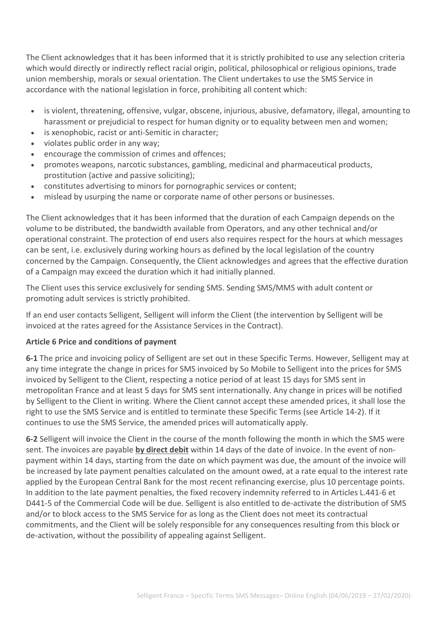The Client acknowledges that it has been informed that it is strictly prohibited to use any selection criteria which would directly or indirectly reflect racial origin, political, philosophical or religious opinions, trade union membership, morals or sexual orientation. The Client undertakes to use the SMS Service in accordance with the national legislation in force, prohibiting all content which:

- is violent, threatening, offensive, vulgar, obscene, injurious, abusive, defamatory, illegal, amounting to harassment or prejudicial to respect for human dignity or to equality between men and women;
- is xenophobic, racist or anti-Semitic in character;
- violates public order in any way;
- encourage the commission of crimes and offences;
- promotes weapons, narcotic substances, gambling, medicinal and pharmaceutical products, prostitution (active and passive soliciting);
- constitutes advertising to minors for pornographic services or content;
- mislead by usurping the name or corporate name of other persons or businesses.

The Client acknowledges that it has been informed that the duration of each Campaign depends on the volume to be distributed, the bandwidth available from Operators, and any other technical and/or operational constraint. The protection of end users also requires respect for the hours at which messages can be sent, i.e. exclusively during working hours as defined by the local legislation of the country concerned by the Campaign. Consequently, the Client acknowledges and agrees that the effective duration of a Campaign may exceed the duration which it had initially planned.

The Client uses this service exclusively for sending SMS. Sending SMS/MMS with adult content or promoting adult services is strictly prohibited.

If an end user contacts Selligent, Selligent will inform the Client (the intervention by Selligent will be invoiced at the rates agreed for the Assistance Services in the Contract).

#### **Article 6 Price and conditions of payment**

**6-1** The price and invoicing policy of Selligent are set out in these Specific Terms. However, Selligent may at any time integrate the change in prices for SMS invoiced by So Mobile to Selligent into the prices for SMS invoiced by Selligent to the Client, respecting a notice period of at least 15 days for SMS sent in metropolitan France and at least 5 days for SMS sent internationally. Any change in prices will be notified by Selligent to the Client in writing. Where the Client cannot accept these amended prices, it shall lose the right to use the SMS Service and is entitled to terminate these Specific Terms (see Article 14-2). If it continues to use the SMS Service, the amended prices will automatically apply.

**6-2** Selligent will invoice the Client in the course of the month following the month in which the SMS were sent. The invoices are payable **by direct debit** within 14 days of the date of invoice. In the event of nonpayment within 14 days, starting from the date on which payment was due, the amount of the invoice will be increased by late payment penalties calculated on the amount owed, at a rate equal to the interest rate applied by the European Central Bank for the most recent refinancing exercise, plus 10 percentage points. In addition to the late payment penalties, the fixed recovery indemnity referred to in Articles L.441-6 et D441-5 of the Commercial Code will be due. Selligent is also entitled to de-activate the distribution of SMS and/or to block access to the SMS Service for as long as the Client does not meet its contractual commitments, and the Client will be solely responsible for any consequences resulting from this block or de-activation, without the possibility of appealing against Selligent.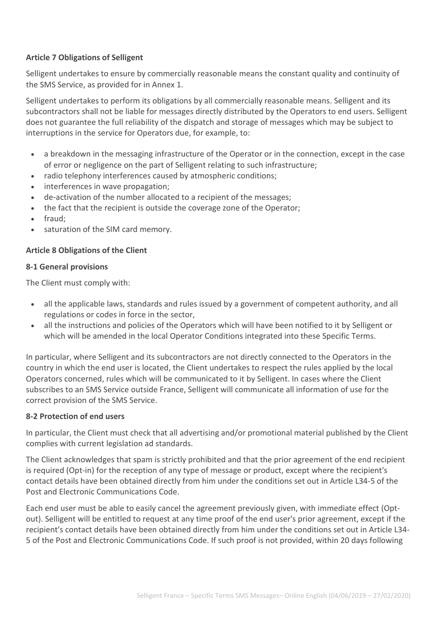## **Article 7 Obligations of Selligent**

Selligent undertakes to ensure by commercially reasonable means the constant quality and continuity of the SMS Service, as provided for in Annex 1.

Selligent undertakes to perform its obligations by all commercially reasonable means. Selligent and its subcontractors shall not be liable for messages directly distributed by the Operators to end users. Selligent does not guarantee the full reliability of the dispatch and storage of messages which may be subject to interruptions in the service for Operators due, for example, to:

- a breakdown in the messaging infrastructure of the Operator or in the connection, except in the case of error or negligence on the part of Selligent relating to such infrastructure;
- radio telephony interferences caused by atmospheric conditions;
- interferences in wave propagation;
- de-activation of the number allocated to a recipient of the messages;
- the fact that the recipient is outside the coverage zone of the Operator;
- fraud;
- saturation of the SIM card memory.

#### **Article 8 Obligations of the Client**

#### **8-1 General provisions**

The Client must comply with:

- all the applicable laws, standards and rules issued by a government of competent authority, and all regulations or codes in force in the sector,
- all the instructions and policies of the Operators which will have been notified to it by Selligent or which will be amended in the local Operator Conditions integrated into these Specific Terms.

In particular, where Selligent and its subcontractors are not directly connected to the Operators in the country in which the end user is located, the Client undertakes to respect the rules applied by the local Operators concerned, rules which will be communicated to it by Selligent. In cases where the Client subscribes to an SMS Service outside France, Selligent will communicate all information of use for the correct provision of the SMS Service.

#### **8-2 Protection of end users**

In particular, the Client must check that all advertising and/or promotional material published by the Client complies with current legislation ad standards.

The Client acknowledges that spam is strictly prohibited and that the prior agreement of the end recipient is required (Opt-in) for the reception of any type of message or product, except where the recipient's contact details have been obtained directly from him under the conditions set out in Article L34-5 of the Post and Electronic Communications Code.

Each end user must be able to easily cancel the agreement previously given, with immediate effect (Optout). Selligent will be entitled to request at any time proof of the end user's prior agreement, except if the recipient's contact details have been obtained directly from him under the conditions set out in Article L34- 5 of the Post and Electronic Communications Code. If such proof is not provided, within 20 days following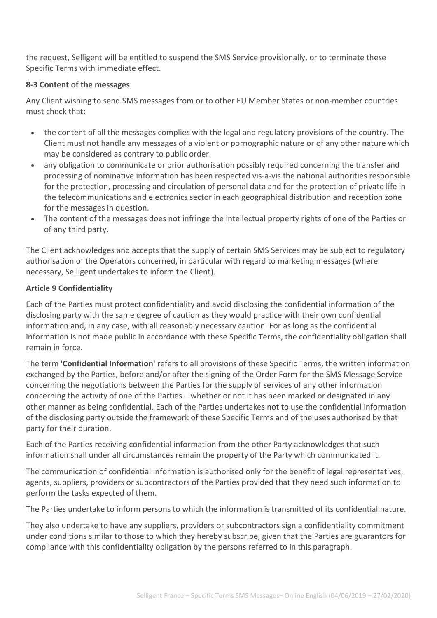the request, Selligent will be entitled to suspend the SMS Service provisionally, or to terminate these Specific Terms with immediate effect.

## **8-3 Content of the messages**:

Any Client wishing to send SMS messages from or to other EU Member States or non-member countries must check that:

- the content of all the messages complies with the legal and regulatory provisions of the country. The Client must not handle any messages of a violent or pornographic nature or of any other nature which may be considered as contrary to public order.
- any obligation to communicate or prior authorisation possibly required concerning the transfer and processing of nominative information has been respected vis-a-vis the national authorities responsible for the protection, processing and circulation of personal data and for the protection of private life in the telecommunications and electronics sector in each geographical distribution and reception zone for the messages in question.
- The content of the messages does not infringe the intellectual property rights of one of the Parties or of any third party.

The Client acknowledges and accepts that the supply of certain SMS Services may be subject to regulatory authorisation of the Operators concerned, in particular with regard to marketing messages (where necessary, Selligent undertakes to inform the Client).

## **Article 9 Confidentiality**

Each of the Parties must protect confidentiality and avoid disclosing the confidential information of the disclosing party with the same degree of caution as they would practice with their own confidential information and, in any case, with all reasonably necessary caution. For as long as the confidential information is not made public in accordance with these Specific Terms, the confidentiality obligation shall remain in force.

The term '**Confidential Information'** refers to all provisions of these Specific Terms, the written information exchanged by the Parties, before and/or after the signing of the Order Form for the SMS Message Service concerning the negotiations between the Parties for the supply of services of any other information concerning the activity of one of the Parties – whether or not it has been marked or designated in any other manner as being confidential. Each of the Parties undertakes not to use the confidential information of the disclosing party outside the framework of these Specific Terms and of the uses authorised by that party for their duration.

Each of the Parties receiving confidential information from the other Party acknowledges that such information shall under all circumstances remain the property of the Party which communicated it.

The communication of confidential information is authorised only for the benefit of legal representatives, agents, suppliers, providers or subcontractors of the Parties provided that they need such information to perform the tasks expected of them.

The Parties undertake to inform persons to which the information is transmitted of its confidential nature.

They also undertake to have any suppliers, providers or subcontractors sign a confidentiality commitment under conditions similar to those to which they hereby subscribe, given that the Parties are guarantors for compliance with this confidentiality obligation by the persons referred to in this paragraph.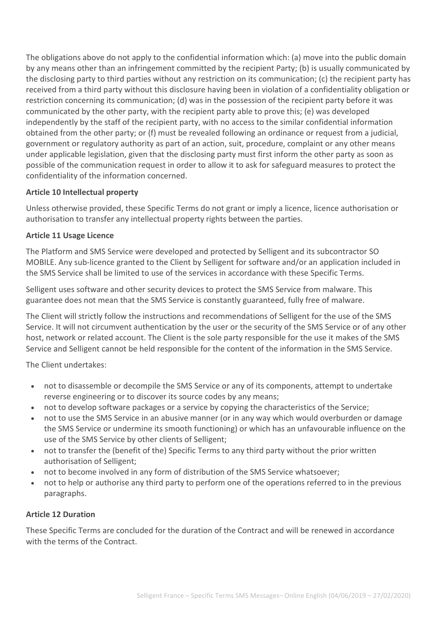The obligations above do not apply to the confidential information which: (a) move into the public domain by any means other than an infringement committed by the recipient Party; (b) is usually communicated by the disclosing party to third parties without any restriction on its communication; (c) the recipient party has received from a third party without this disclosure having been in violation of a confidentiality obligation or restriction concerning its communication; (d) was in the possession of the recipient party before it was communicated by the other party, with the recipient party able to prove this; (e) was developed independently by the staff of the recipient party, with no access to the similar confidential information obtained from the other party; or (f) must be revealed following an ordinance or request from a judicial, government or regulatory authority as part of an action, suit, procedure, complaint or any other means under applicable legislation, given that the disclosing party must first inform the other party as soon as possible of the communication request in order to allow it to ask for safeguard measures to protect the confidentiality of the information concerned.

## **Article 10 Intellectual property**

Unless otherwise provided, these Specific Terms do not grant or imply a licence, licence authorisation or authorisation to transfer any intellectual property rights between the parties.

## **Article 11 Usage Licence**

The Platform and SMS Service were developed and protected by Selligent and its subcontractor SO MOBILE. Any sub-licence granted to the Client by Selligent for software and/or an application included in the SMS Service shall be limited to use of the services in accordance with these Specific Terms.

Selligent uses software and other security devices to protect the SMS Service from malware. This guarantee does not mean that the SMS Service is constantly guaranteed, fully free of malware.

The Client will strictly follow the instructions and recommendations of Selligent for the use of the SMS Service. It will not circumvent authentication by the user or the security of the SMS Service or of any other host, network or related account. The Client is the sole party responsible for the use it makes of the SMS Service and Selligent cannot be held responsible for the content of the information in the SMS Service.

The Client undertakes:

- not to disassemble or decompile the SMS Service or any of its components, attempt to undertake reverse engineering or to discover its source codes by any means;
- not to develop software packages or a service by copying the characteristics of the Service;
- not to use the SMS Service in an abusive manner (or in any way which would overburden or damage the SMS Service or undermine its smooth functioning) or which has an unfavourable influence on the use of the SMS Service by other clients of Selligent;
- not to transfer the (benefit of the) Specific Terms to any third party without the prior written authorisation of Selligent;
- not to become involved in any form of distribution of the SMS Service whatsoever;
- not to help or authorise any third party to perform one of the operations referred to in the previous paragraphs.

## **Article 12 Duration**

These Specific Terms are concluded for the duration of the Contract and will be renewed in accordance with the terms of the Contract.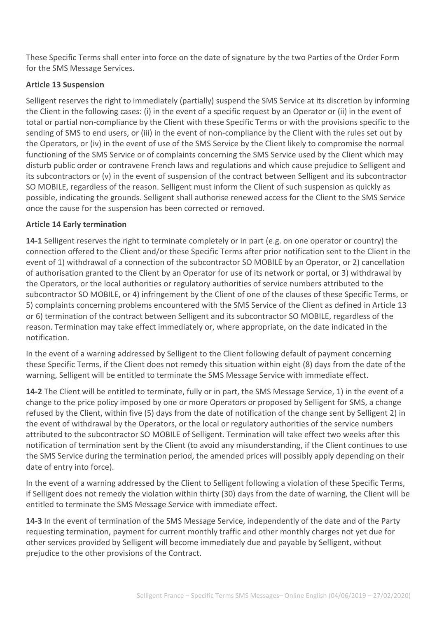These Specific Terms shall enter into force on the date of signature by the two Parties of the Order Form for the SMS Message Services.

## **Article 13 Suspension**

Selligent reserves the right to immediately (partially) suspend the SMS Service at its discretion by informing the Client in the following cases: (i) in the event of a specific request by an Operator or (ii) in the event of total or partial non-compliance by the Client with these Specific Terms or with the provisions specific to the sending of SMS to end users, or (iii) in the event of non-compliance by the Client with the rules set out by the Operators, or (iv) in the event of use of the SMS Service by the Client likely to compromise the normal functioning of the SMS Service or of complaints concerning the SMS Service used by the Client which may disturb public order or contravene French laws and regulations and which cause prejudice to Selligent and its subcontractors or (v) in the event of suspension of the contract between Selligent and its subcontractor SO MOBILE, regardless of the reason. Selligent must inform the Client of such suspension as quickly as possible, indicating the grounds. Selligent shall authorise renewed access for the Client to the SMS Service once the cause for the suspension has been corrected or removed.

# **Article 14 Early termination**

**14-1** Selligent reserves the right to terminate completely or in part (e.g. on one operator or country) the connection offered to the Client and/or these Specific Terms after prior notification sent to the Client in the event of 1) withdrawal of a connection of the subcontractor SO MOBILE by an Operator, or 2) cancellation of authorisation granted to the Client by an Operator for use of its network or portal, or 3) withdrawal by the Operators, or the local authorities or regulatory authorities of service numbers attributed to the subcontractor SO MOBILE, or 4) infringement by the Client of one of the clauses of these Specific Terms, or 5) complaints concerning problems encountered with the SMS Service of the Client as defined in Article 13 or 6) termination of the contract between Selligent and its subcontractor SO MOBILE, regardless of the reason. Termination may take effect immediately or, where appropriate, on the date indicated in the notification.

In the event of a warning addressed by Selligent to the Client following default of payment concerning these Specific Terms, if the Client does not remedy this situation within eight (8) days from the date of the warning, Selligent will be entitled to terminate the SMS Message Service with immediate effect.

**14-2** The Client will be entitled to terminate, fully or in part, the SMS Message Service, 1) in the event of a change to the price policy imposed by one or more Operators or proposed by Selligent for SMS, a change refused by the Client, within five (5) days from the date of notification of the change sent by Selligent 2) in the event of withdrawal by the Operators, or the local or regulatory authorities of the service numbers attributed to the subcontractor SO MOBILE of Selligent. Termination will take effect two weeks after this notification of termination sent by the Client (to avoid any misunderstanding, if the Client continues to use the SMS Service during the termination period, the amended prices will possibly apply depending on their date of entry into force).

In the event of a warning addressed by the Client to Selligent following a violation of these Specific Terms, if Selligent does not remedy the violation within thirty (30) days from the date of warning, the Client will be entitled to terminate the SMS Message Service with immediate effect.

**14-3** In the event of termination of the SMS Message Service, independently of the date and of the Party requesting termination, payment for current monthly traffic and other monthly charges not yet due for other services provided by Selligent will become immediately due and payable by Selligent, without prejudice to the other provisions of the Contract.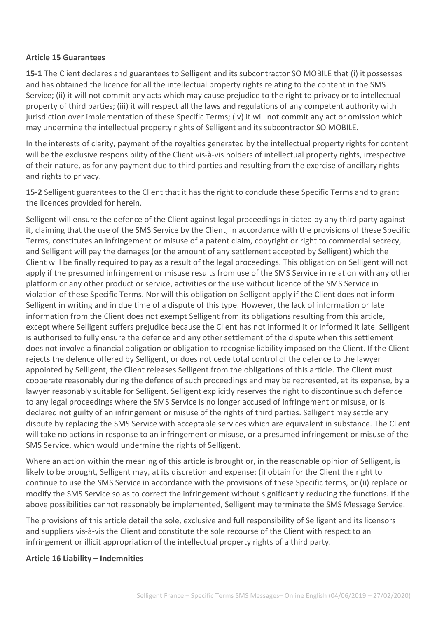#### **Article 15 Guarantees**

**15-1** The Client declares and guarantees to Selligent and its subcontractor SO MOBILE that (i) it possesses and has obtained the licence for all the intellectual property rights relating to the content in the SMS Service; (ii) it will not commit any acts which may cause prejudice to the right to privacy or to intellectual property of third parties; (iii) it will respect all the laws and regulations of any competent authority with jurisdiction over implementation of these Specific Terms; (iv) it will not commit any act or omission which may undermine the intellectual property rights of Selligent and its subcontractor SO MOBILE.

In the interests of clarity, payment of the royalties generated by the intellectual property rights for content will be the exclusive responsibility of the Client vis-à-vis holders of intellectual property rights, irrespective of their nature, as for any payment due to third parties and resulting from the exercise of ancillary rights and rights to privacy.

**15-2** Selligent guarantees to the Client that it has the right to conclude these Specific Terms and to grant the licences provided for herein.

Selligent will ensure the defence of the Client against legal proceedings initiated by any third party against it, claiming that the use of the SMS Service by the Client, in accordance with the provisions of these Specific Terms, constitutes an infringement or misuse of a patent claim, copyright or right to commercial secrecy, and Selligent will pay the damages (or the amount of any settlement accepted by Selligent) which the Client will be finally required to pay as a result of the legal proceedings. This obligation on Selligent will not apply if the presumed infringement or misuse results from use of the SMS Service in relation with any other platform or any other product or service, activities or the use without licence of the SMS Service in violation of these Specific Terms. Nor will this obligation on Selligent apply if the Client does not inform Selligent in writing and in due time of a dispute of this type. However, the lack of information or late information from the Client does not exempt Selligent from its obligations resulting from this article, except where Selligent suffers prejudice because the Client has not informed it or informed it late. Selligent is authorised to fully ensure the defence and any other settlement of the dispute when this settlement does not involve a financial obligation or obligation to recognise liability imposed on the Client. If the Client rejects the defence offered by Selligent, or does not cede total control of the defence to the lawyer appointed by Selligent, the Client releases Selligent from the obligations of this article. The Client must cooperate reasonably during the defence of such proceedings and may be represented, at its expense, by a lawyer reasonably suitable for Selligent. Selligent explicitly reserves the right to discontinue such defence to any legal proceedings where the SMS Service is no longer accused of infringement or misuse, or is declared not guilty of an infringement or misuse of the rights of third parties. Selligent may settle any dispute by replacing the SMS Service with acceptable services which are equivalent in substance. The Client will take no actions in response to an infringement or misuse, or a presumed infringement or misuse of the SMS Service, which would undermine the rights of Selligent.

Where an action within the meaning of this article is brought or, in the reasonable opinion of Selligent, is likely to be brought, Selligent may, at its discretion and expense: (i) obtain for the Client the right to continue to use the SMS Service in accordance with the provisions of these Specific terms, or (ii) replace or modify the SMS Service so as to correct the infringement without significantly reducing the functions. If the above possibilities cannot reasonably be implemented, Selligent may terminate the SMS Message Service.

The provisions of this article detail the sole, exclusive and full responsibility of Selligent and its licensors and suppliers vis-à-vis the Client and constitute the sole recourse of the Client with respect to an infringement or illicit appropriation of the intellectual property rights of a third party.

#### **Article 16 Liability – Indemnities**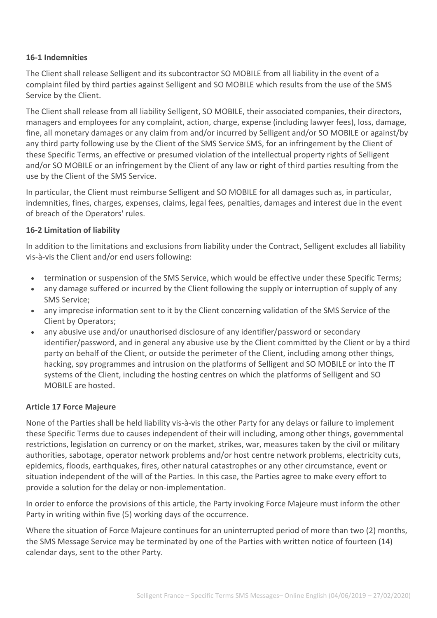#### **16-1 Indemnities**

The Client shall release Selligent and its subcontractor SO MOBILE from all liability in the event of a complaint filed by third parties against Selligent and SO MOBILE which results from the use of the SMS Service by the Client.

The Client shall release from all liability Selligent, SO MOBILE, their associated companies, their directors, managers and employees for any complaint, action, charge, expense (including lawyer fees), loss, damage, fine, all monetary damages or any claim from and/or incurred by Selligent and/or SO MOBILE or against/by any third party following use by the Client of the SMS Service SMS, for an infringement by the Client of these Specific Terms, an effective or presumed violation of the intellectual property rights of Selligent and/or SO MOBILE or an infringement by the Client of any law or right of third parties resulting from the use by the Client of the SMS Service.

In particular, the Client must reimburse Selligent and SO MOBILE for all damages such as, in particular, indemnities, fines, charges, expenses, claims, legal fees, penalties, damages and interest due in the event of breach of the Operators' rules.

#### **16-2 Limitation of liability**

In addition to the limitations and exclusions from liability under the Contract, Selligent excludes all liability vis-à-vis the Client and/or end users following:

- termination or suspension of the SMS Service, which would be effective under these Specific Terms;
- any damage suffered or incurred by the Client following the supply or interruption of supply of any SMS Service;
- any imprecise information sent to it by the Client concerning validation of the SMS Service of the Client by Operators;
- any abusive use and/or unauthorised disclosure of any identifier/password or secondary identifier/password, and in general any abusive use by the Client committed by the Client or by a third party on behalf of the Client, or outside the perimeter of the Client, including among other things, hacking, spy programmes and intrusion on the platforms of Selligent and SO MOBILE or into the IT systems of the Client, including the hosting centres on which the platforms of Selligent and SO MOBILE are hosted.

#### **Article 17 Force Majeure**

None of the Parties shall be held liability vis-à-vis the other Party for any delays or failure to implement these Specific Terms due to causes independent of their will including, among other things, governmental restrictions, legislation on currency or on the market, strikes, war, measures taken by the civil or military authorities, sabotage, operator network problems and/or host centre network problems, electricity cuts, epidemics, floods, earthquakes, fires, other natural catastrophes or any other circumstance, event or situation independent of the will of the Parties. In this case, the Parties agree to make every effort to provide a solution for the delay or non-implementation.

In order to enforce the provisions of this article, the Party invoking Force Majeure must inform the other Party in writing within five (5) working days of the occurrence.

Where the situation of Force Majeure continues for an uninterrupted period of more than two (2) months, the SMS Message Service may be terminated by one of the Parties with written notice of fourteen (14) calendar days, sent to the other Party.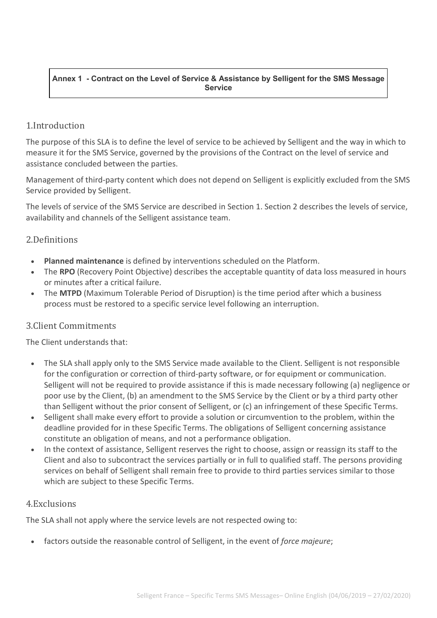#### **Annex 1 - Contract on the Level of Service & Assistance by Selligent for the SMS Message Service**

# 1.Introduction

The purpose of this SLA is to define the level of service to be achieved by Selligent and the way in which to measure it for the SMS Service, governed by the provisions of the Contract on the level of service and assistance concluded between the parties.

Management of third-party content which does not depend on Selligent is explicitly excluded from the SMS Service provided by Selligent.

The levels of service of the SMS Service are described in Section 1. Section 2 describes the levels of service, availability and channels of the Selligent assistance team.

# 2.Definitions

- **Planned maintenance** is defined by interventions scheduled on the Platform.
- The **RPO** (Recovery Point Objective) describes the acceptable quantity of data loss measured in hours or minutes after a critical failure.
- The **MTPD** (Maximum Tolerable Period of Disruption) is the time period after which a business process must be restored to a specific service level following an interruption.

# 3.Client Commitments

The Client understands that:

- The SLA shall apply only to the SMS Service made available to the Client. Selligent is not responsible for the configuration or correction of third-party software, or for equipment or communication. Selligent will not be required to provide assistance if this is made necessary following (a) negligence or poor use by the Client, (b) an amendment to the SMS Service by the Client or by a third party other than Selligent without the prior consent of Selligent, or (c) an infringement of these Specific Terms.
- Selligent shall make every effort to provide a solution or circumvention to the problem, within the deadline provided for in these Specific Terms. The obligations of Selligent concerning assistance constitute an obligation of means, and not a performance obligation.
- In the context of assistance, Selligent reserves the right to choose, assign or reassign its staff to the Client and also to subcontract the services partially or in full to qualified staff. The persons providing services on behalf of Selligent shall remain free to provide to third parties services similar to those which are subject to these Specific Terms.

# 4.Exclusions

The SLA shall not apply where the service levels are not respected owing to:

• factors outside the reasonable control of Selligent, in the event of *force majeure*;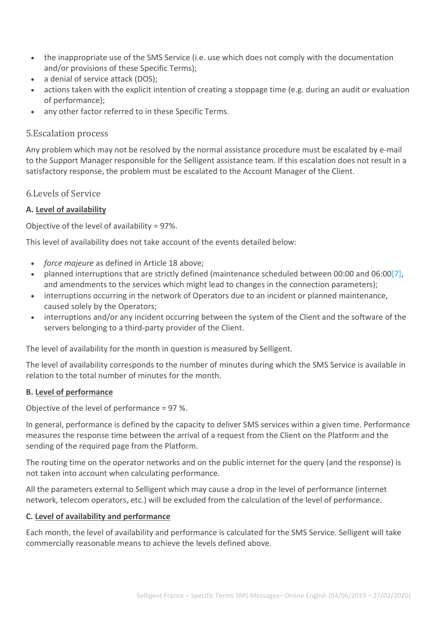- the inappropriate use of the SMS Service (i.e. use which does not comply with the documentation and/or provisions of these Specific Terms);
- a denial of service attack (DOS);
- actions taken with the explicit intention of creating a stoppage time (e.g. during an audit or evaluation of performance);
- any other factor referred to in these Specific Terms.

# 5.Escalation process

Any problem which may not be resolved by the normal assistance procedure must be escalated by e-mail to the Support Manager responsible for the Selligent assistance team. If this escalation does not result in a satisfactory response, the problem must be escalated to the Account Manager of the Client.

6.Levels of Service

# **A. Level of availability**

Objective of the level of availability = 97%.

This level of availability does not take account of the events detailed below:

- *force majeure* as defined in Article 18 above;
- planned interruptions that are strictly defined (maintenance scheduled between 00:00 and 06:0[0\[7\],](https://www.selligent.com/legal-France-SMS-Message#_ftn7) and amendments to the services which might lead to changes in the connection parameters);
- interruptions occurring in the network of Operators due to an incident or planned maintenance, caused solely by the Operators;
- interruptions and/or any incident occurring between the system of the Client and the software of the servers belonging to a third-party provider of the Client.

The level of availability for the month in question is measured by Selligent.

The level of availability corresponds to the number of minutes during which the SMS Service is available in relation to the total number of minutes for the month.

## **B. Level of performance**

Objective of the level of performance = 97 %.

In general, performance is defined by the capacity to deliver SMS services within a given time. Performance measures the response time between the arrival of a request from the Client on the Platform and the sending of the required page from the Platform.

The routing time on the operator networks and on the public internet for the query (and the response) is not taken into account when calculating performance.

All the parameters external to Selligent which may cause a drop in the level of performance (internet network, telecom operators, etc.) will be excluded from the calculation of the level of performance.

## **C. Level of availability and performance**

Each month, the level of availability and performance is calculated for the SMS Service. Selligent will take commercially reasonable means to achieve the levels defined above.